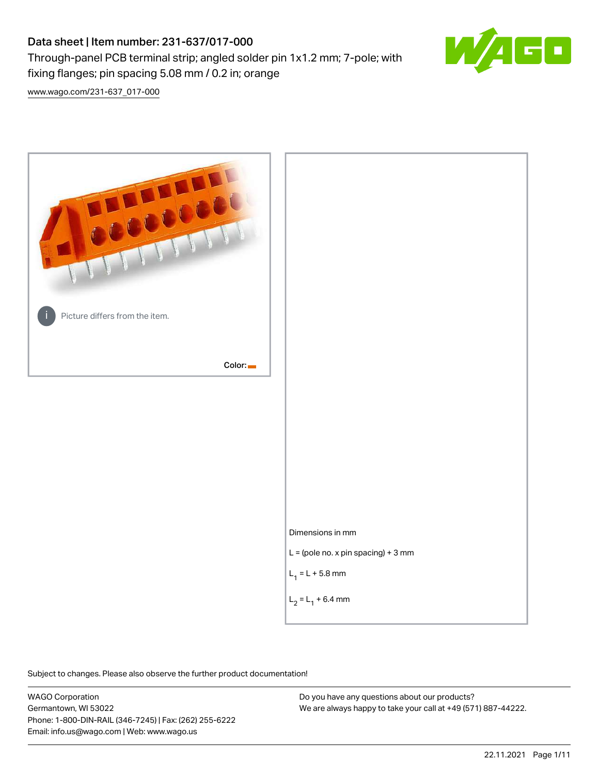# Data sheet | Item number: 231-637/017-000

Through-panel PCB terminal strip; angled solder pin 1x1.2 mm; 7-pole; with



[www.wago.com/231-637\\_017-000](http://www.wago.com/231-637_017-000)



Subject to changes. Please also observe the further product documentation!

WAGO Corporation Germantown, WI 53022 Phone: 1-800-DIN-RAIL (346-7245) | Fax: (262) 255-6222 Email: info.us@wago.com | Web: www.wago.us

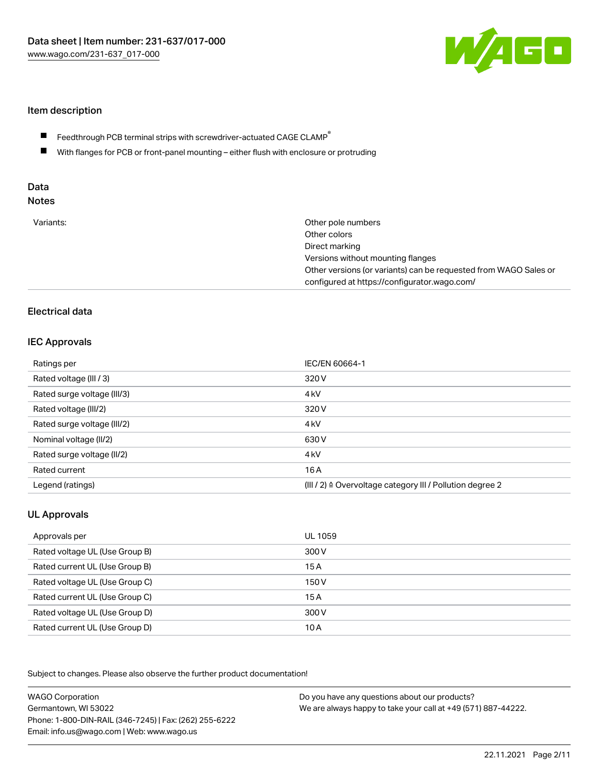

## Item description

- Feedthrough PCB terminal strips with screwdriver-actuated CAGE CLAMP $^\circ$  $\blacksquare$
- $\blacksquare$ With flanges for PCB or front-panel mounting – either flush with enclosure or protruding

# Data

| Variants:<br>Other pole numbers<br>Other colors<br>Direct marking<br>Versions without mounting flanges<br>Other versions (or variants) can be requested from WAGO Sales or<br>configured at https://configurator.wago.com/ |  |
|----------------------------------------------------------------------------------------------------------------------------------------------------------------------------------------------------------------------------|--|
|----------------------------------------------------------------------------------------------------------------------------------------------------------------------------------------------------------------------------|--|

# Electrical data

## IEC Approvals

| Ratings per                 | IEC/EN 60664-1                                                        |
|-----------------------------|-----------------------------------------------------------------------|
| Rated voltage (III / 3)     | 320 V                                                                 |
| Rated surge voltage (III/3) | 4 <sub>kV</sub>                                                       |
| Rated voltage (III/2)       | 320 V                                                                 |
| Rated surge voltage (III/2) | 4 <sub>kV</sub>                                                       |
| Nominal voltage (II/2)      | 630 V                                                                 |
| Rated surge voltage (II/2)  | 4 <sub>k</sub> V                                                      |
| Rated current               | 16A                                                                   |
| Legend (ratings)            | $(III / 2)$ $\triangle$ Overvoltage category III / Pollution degree 2 |

# UL Approvals

| Approvals per                  | UL 1059 |
|--------------------------------|---------|
| Rated voltage UL (Use Group B) | 300 V   |
| Rated current UL (Use Group B) | 15 A    |
| Rated voltage UL (Use Group C) | 150 V   |
| Rated current UL (Use Group C) | 15A     |
| Rated voltage UL (Use Group D) | 300 V   |
| Rated current UL (Use Group D) | 10 A    |

Subject to changes. Please also observe the further product documentation!

| <b>WAGO Corporation</b>                                | Do you have any questions about our products?                 |
|--------------------------------------------------------|---------------------------------------------------------------|
| Germantown, WI 53022                                   | We are always happy to take your call at +49 (571) 887-44222. |
| Phone: 1-800-DIN-RAIL (346-7245)   Fax: (262) 255-6222 |                                                               |
| Email: info.us@wago.com   Web: www.wago.us             |                                                               |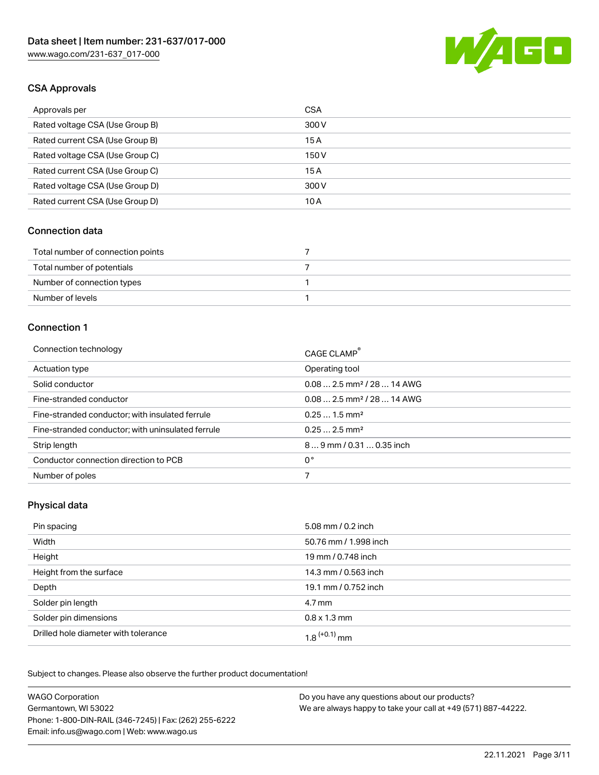

# CSA Approvals

| Approvals per                   | <b>CSA</b> |
|---------------------------------|------------|
| Rated voltage CSA (Use Group B) | 300 V      |
| Rated current CSA (Use Group B) | 15A        |
| Rated voltage CSA (Use Group C) | 150 V      |
| Rated current CSA (Use Group C) | 15A        |
| Rated voltage CSA (Use Group D) | 300 V      |
| Rated current CSA (Use Group D) | 10 A       |

#### Connection data

| Total number of connection points |  |
|-----------------------------------|--|
| Total number of potentials        |  |
| Number of connection types        |  |
| Number of levels                  |  |

#### Connection 1

| Connection technology                             | CAGE CLAMP <sup>®</sup>                 |
|---------------------------------------------------|-----------------------------------------|
| Actuation type                                    | Operating tool                          |
| Solid conductor                                   | $0.08$ 2.5 mm <sup>2</sup> / 28  14 AWG |
| Fine-stranded conductor                           | $0.08$ 2.5 mm <sup>2</sup> / 28  14 AWG |
| Fine-stranded conductor; with insulated ferrule   | $0.251.5$ mm <sup>2</sup>               |
| Fine-stranded conductor; with uninsulated ferrule | $0.252.5$ mm <sup>2</sup>               |
| Strip length                                      | $89$ mm / 0.31  0.35 inch               |
| Conductor connection direction to PCB             | 0°                                      |
| Number of poles                                   | 7                                       |
|                                                   |                                         |

## Physical data

| Pin spacing                          | 5.08 mm / 0.2 inch    |
|--------------------------------------|-----------------------|
| Width                                | 50.76 mm / 1.998 inch |
| Height                               | 19 mm / 0.748 inch    |
| Height from the surface              | 14.3 mm / 0.563 inch  |
| Depth                                | 19.1 mm / 0.752 inch  |
| Solder pin length                    | 4.7 mm                |
| Solder pin dimensions                | $0.8 \times 1.3$ mm   |
| Drilled hole diameter with tolerance | $1.8$ $(+0.1)$ mm     |

Subject to changes. Please also observe the further product documentation! Mechanical data

| <b>WAGO Corporation</b>                                | Do you have any questions about our products?                 |
|--------------------------------------------------------|---------------------------------------------------------------|
| Germantown, WI 53022                                   | We are always happy to take your call at +49 (571) 887-44222. |
| Phone: 1-800-DIN-RAIL (346-7245)   Fax: (262) 255-6222 |                                                               |
| Email: info.us@wago.com   Web: www.wago.us             |                                                               |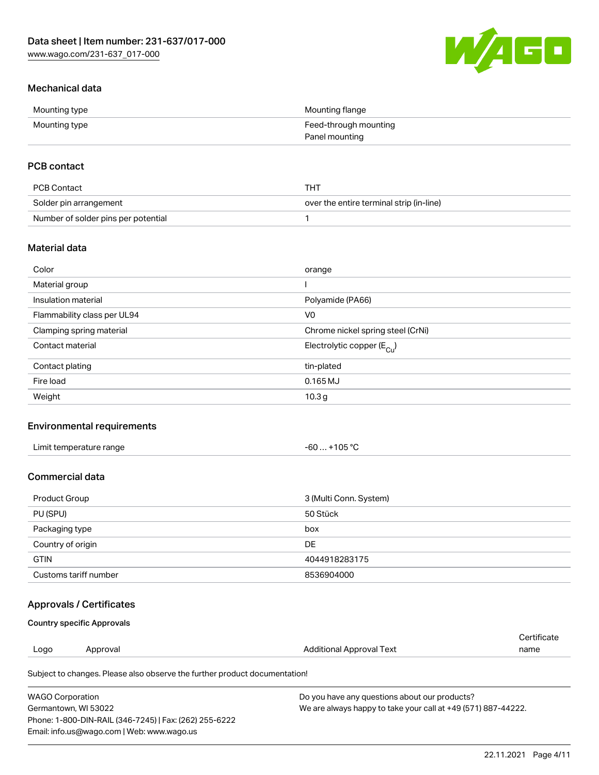

# Mechanical data

| Mounting type | Mounting flange       |
|---------------|-----------------------|
| Mounting type | Feed-through mounting |
|               | Panel mounting        |

# PCB contact

| PCB Contact                         | тнт                                      |
|-------------------------------------|------------------------------------------|
| Solder pin arrangement              | over the entire terminal strip (in-line) |
| Number of solder pins per potential |                                          |

### Material data

| Color                       | orange                                |
|-----------------------------|---------------------------------------|
| Material group              |                                       |
| Insulation material         | Polyamide (PA66)                      |
| Flammability class per UL94 | V <sub>0</sub>                        |
| Clamping spring material    | Chrome nickel spring steel (CrNi)     |
| Contact material            | Electrolytic copper $(E_{\text{Cl}})$ |
| Contact plating             | tin-plated                            |
| Fire load                   | $0.165$ MJ                            |
| Weight                      | 10.3 <sub>g</sub>                     |

# Environmental requirements

| Limit temperature range<br>. | +105 $^{\circ}$ C<br>-60 |  |
|------------------------------|--------------------------|--|
|------------------------------|--------------------------|--|

# Commercial data

| Product Group         | 3 (Multi Conn. System) |
|-----------------------|------------------------|
| PU (SPU)              | 50 Stück               |
| Packaging type        | box                    |
| Country of origin     | DE                     |
| <b>GTIN</b>           | 4044918283175          |
| Customs tariff number | 8536904000             |

## Approvals / Certificates

#### Country specific Approvals

|      |          |                                                                            | Certificate |  |
|------|----------|----------------------------------------------------------------------------|-------------|--|
| Logo | Approval | Additional Approval Text                                                   | name        |  |
|      |          | Subject to changes. Please also observe the further product documentation! |             |  |

| WAGO Corporation                                       | Do you have any questions about our products?                 |
|--------------------------------------------------------|---------------------------------------------------------------|
| Germantown. WI 53022                                   | We are always happy to take your call at +49 (571) 887-44222. |
| Phone: 1-800-DIN-RAIL (346-7245)   Fax: (262) 255-6222 |                                                               |
| Email: info.us@wago.com   Web: www.wago.us             |                                                               |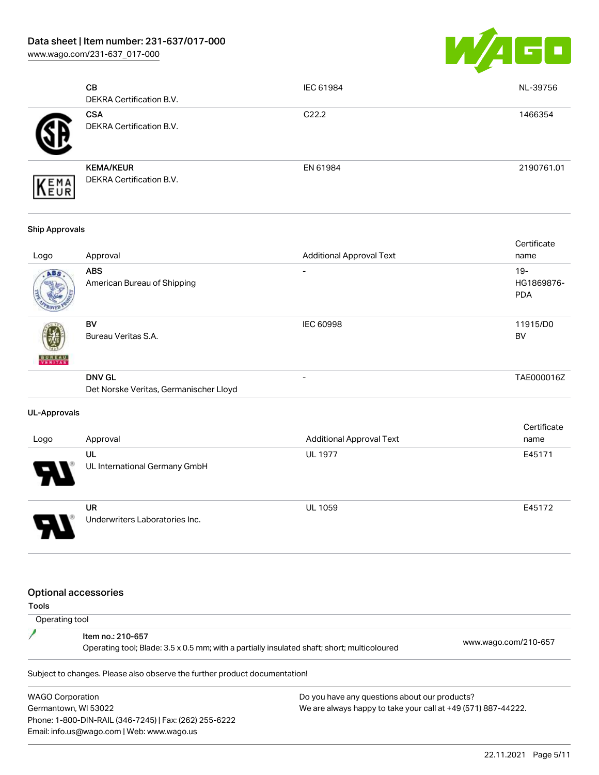[www.wago.com/231-637\\_017-000](http://www.wago.com/231-637_017-000)



| CВ<br><b>DEKRA Certification B.V.</b>        | IEC 61984         | NL-39756   |
|----------------------------------------------|-------------------|------------|
| <b>CSA</b><br>DEKRA Certification B.V.       | C <sub>22.2</sub> | 1466354    |
| <b>KEMA/KEUR</b><br>DEKRA Certification B.V. | EN 61984          | 2190761.01 |

#### Ship Approvals

| Logo          | Approval                                                | <b>Additional Approval Text</b> | Certificate<br>name               |
|---------------|---------------------------------------------------------|---------------------------------|-----------------------------------|
| ABS           | <b>ABS</b><br>American Bureau of Shipping               |                                 | $19-$<br>HG1869876-<br><b>PDA</b> |
| <b>BUREAU</b> | BV<br>Bureau Veritas S.A.                               | <b>IEC 60998</b>                | 11915/D0<br><b>BV</b>             |
|               | <b>DNV GL</b><br>Det Norske Veritas, Germanischer Lloyd | -                               | TAE000016Z                        |

#### UL-Approvals

| Logo | Approval                             | <b>Additional Approval Text</b> | Certificate<br>name |
|------|--------------------------------------|---------------------------------|---------------------|
| 8    | UL<br>UL International Germany GmbH  | <b>UL 1977</b>                  | E45171              |
|      | UR<br>Underwriters Laboratories Inc. | <b>UL 1059</b>                  | E45172              |

#### Optional accessories

Tools

| Operating tool |                                                                                                                  |                      |
|----------------|------------------------------------------------------------------------------------------------------------------|----------------------|
|                | Item no.: 210-657<br>Operating tool; Blade: 3.5 x 0.5 mm; with a partially insulated shaft; short; multicoloured | www.wago.com/210-657 |
|                |                                                                                                                  |                      |

Subject to changes. Please also observe the further product documentation!

WAGO Corporation Germantown, WI 53022 Phone: 1-800-DIN-RAIL (346-7245) | Fax: (262) 255-6222 Email: info.us@wago.com | Web: www.wago.us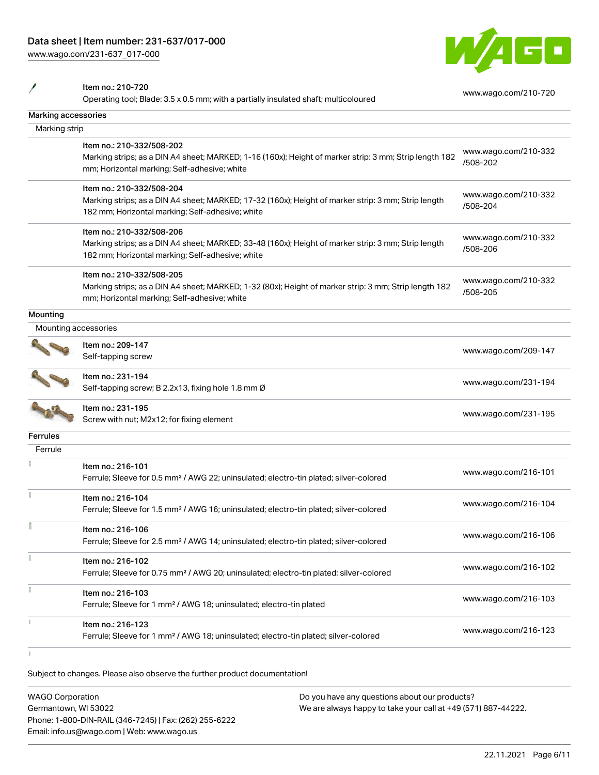[www.wago.com/231-637\\_017-000](http://www.wago.com/231-637_017-000)



Item no.: 210-720

 $\overline{\phantom{a}}$ 

Operating tool; Blade: 3.5 x 0.5 mm; with a partially insulated shaft; multicoloured [www.wago.com/210-720](http://www.wago.com/210-720)

| Marking accessories  |                                                                                                                                                                                      |                                  |
|----------------------|--------------------------------------------------------------------------------------------------------------------------------------------------------------------------------------|----------------------------------|
| Marking strip        |                                                                                                                                                                                      |                                  |
|                      | Item no.: 210-332/508-202<br>Marking strips; as a DIN A4 sheet; MARKED; 1-16 (160x); Height of marker strip: 3 mm; Strip length 182<br>mm; Horizontal marking; Self-adhesive; white  | www.wago.com/210-332<br>/508-202 |
|                      | Item no.: 210-332/508-204<br>Marking strips; as a DIN A4 sheet; MARKED; 17-32 (160x); Height of marker strip: 3 mm; Strip length<br>182 mm; Horizontal marking; Self-adhesive; white | www.wago.com/210-332<br>/508-204 |
|                      | Item no.: 210-332/508-206<br>Marking strips; as a DIN A4 sheet; MARKED; 33-48 (160x); Height of marker strip: 3 mm; Strip length<br>182 mm; Horizontal marking; Self-adhesive; white | www.wago.com/210-332<br>/508-206 |
|                      | Item no.: 210-332/508-205<br>Marking strips; as a DIN A4 sheet; MARKED; 1-32 (80x); Height of marker strip: 3 mm; Strip length 182<br>mm; Horizontal marking; Self-adhesive; white   | www.wago.com/210-332<br>/508-205 |
| Mounting             |                                                                                                                                                                                      |                                  |
| Mounting accessories |                                                                                                                                                                                      |                                  |
|                      | Item no.: 209-147<br>Self-tapping screw                                                                                                                                              | www.wago.com/209-147             |
|                      | Item no.: 231-194<br>Self-tapping screw; B 2.2x13, fixing hole 1.8 mm Ø                                                                                                              | www.wago.com/231-194             |
|                      | Item no.: 231-195<br>Screw with nut; M2x12; for fixing element                                                                                                                       | www.wago.com/231-195             |
| <b>Ferrules</b>      |                                                                                                                                                                                      |                                  |
| Ferrule              |                                                                                                                                                                                      |                                  |
|                      | Item no.: 216-101<br>Ferrule; Sleeve for 0.5 mm <sup>2</sup> / AWG 22; uninsulated; electro-tin plated; silver-colored                                                               | www.wago.com/216-101             |
|                      | Item no.: 216-104<br>Ferrule; Sleeve for 1.5 mm <sup>2</sup> / AWG 16; uninsulated; electro-tin plated; silver-colored                                                               | www.wago.com/216-104             |
|                      | Item no.: 216-106<br>Ferrule; Sleeve for 2.5 mm <sup>2</sup> / AWG 14; uninsulated; electro-tin plated; silver-colored                                                               | www.wago.com/216-106             |
|                      | Item no.: 216-102<br>Ferrule; Sleeve for 0.75 mm <sup>2</sup> / AWG 20; uninsulated; electro-tin plated; silver-colored                                                              | www.wago.com/216-102             |
|                      | Item no.: 216-103<br>Ferrule; Sleeve for 1 mm <sup>2</sup> / AWG 18; uninsulated; electro-tin plated                                                                                 | www.wago.com/216-103             |
|                      | Item no.: 216-123<br>Ferrule; Sleeve for 1 mm <sup>2</sup> / AWG 18; uninsulated; electro-tin plated; silver-colored                                                                 | www.wago.com/216-123             |
|                      |                                                                                                                                                                                      |                                  |

Subject to changes. Please also observe the further product documentation!

| <b>WAGO Corporation</b>                                | Do you have any questions about our products?                 |
|--------------------------------------------------------|---------------------------------------------------------------|
| Germantown, WI 53022                                   | We are always happy to take your call at +49 (571) 887-44222. |
| Phone: 1-800-DIN-RAIL (346-7245)   Fax: (262) 255-6222 |                                                               |
| Email: info.us@wago.com   Web: www.wago.us             |                                                               |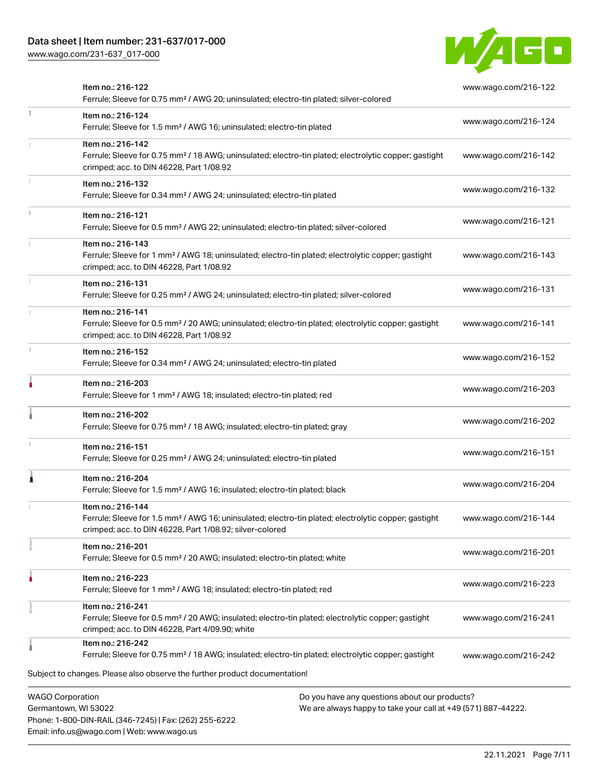Phone: 1-800-DIN-RAIL (346-7245) | Fax: (262) 255-6222

Email: info.us@wago.com | Web: www.wago.us

[www.wago.com/231-637\\_017-000](http://www.wago.com/231-637_017-000)



|    | Item no.: 216-122<br>Ferrule; Sleeve for 0.75 mm <sup>2</sup> / AWG 20; uninsulated; electro-tin plated; silver-colored                                                                           |                                                                                                                | www.wago.com/216-122 |
|----|---------------------------------------------------------------------------------------------------------------------------------------------------------------------------------------------------|----------------------------------------------------------------------------------------------------------------|----------------------|
| I. | Item no.: 216-124<br>Ferrule; Sleeve for 1.5 mm <sup>2</sup> / AWG 16; uninsulated; electro-tin plated                                                                                            |                                                                                                                | www.wago.com/216-124 |
|    | Item no.: 216-142<br>Ferrule; Sleeve for 0.75 mm <sup>2</sup> / 18 AWG; uninsulated; electro-tin plated; electrolytic copper; gastight<br>crimped; acc. to DIN 46228, Part 1/08.92                |                                                                                                                | www.wago.com/216-142 |
|    | Item no.: 216-132<br>Ferrule; Sleeve for 0.34 mm <sup>2</sup> / AWG 24; uninsulated; electro-tin plated                                                                                           |                                                                                                                | www.wago.com/216-132 |
|    | Item no.: 216-121<br>Ferrule; Sleeve for 0.5 mm <sup>2</sup> / AWG 22; uninsulated; electro-tin plated; silver-colored                                                                            |                                                                                                                | www.wago.com/216-121 |
|    | Item no.: 216-143<br>Ferrule; Sleeve for 1 mm <sup>2</sup> / AWG 18; uninsulated; electro-tin plated; electrolytic copper; gastight<br>crimped; acc. to DIN 46228, Part 1/08.92                   |                                                                                                                | www.wago.com/216-143 |
|    | Item no.: 216-131<br>Ferrule; Sleeve for 0.25 mm <sup>2</sup> / AWG 24; uninsulated; electro-tin plated; silver-colored                                                                           |                                                                                                                | www.wago.com/216-131 |
|    | Item no.: 216-141<br>Ferrule; Sleeve for 0.5 mm <sup>2</sup> / 20 AWG; uninsulated; electro-tin plated; electrolytic copper; gastight<br>crimped; acc. to DIN 46228, Part 1/08.92                 |                                                                                                                | www.wago.com/216-141 |
|    | Item no.: 216-152<br>Ferrule; Sleeve for 0.34 mm <sup>2</sup> / AWG 24; uninsulated; electro-tin plated                                                                                           |                                                                                                                | www.wago.com/216-152 |
|    | Item no.: 216-203<br>Ferrule; Sleeve for 1 mm <sup>2</sup> / AWG 18; insulated; electro-tin plated; red                                                                                           |                                                                                                                | www.wago.com/216-203 |
|    | Item no.: 216-202<br>Ferrule; Sleeve for 0.75 mm <sup>2</sup> / 18 AWG; insulated; electro-tin plated; gray                                                                                       |                                                                                                                | www.wago.com/216-202 |
|    | Item no.: 216-151<br>Ferrule; Sleeve for 0.25 mm <sup>2</sup> / AWG 24; uninsulated; electro-tin plated                                                                                           |                                                                                                                | www.wago.com/216-151 |
| Â  | Item no.: 216-204<br>Ferrule; Sleeve for 1.5 mm <sup>2</sup> / AWG 16; insulated; electro-tin plated; black                                                                                       |                                                                                                                | www.wago.com/216-204 |
|    | Item no.: 216-144<br>Ferrule; Sleeve for 1.5 mm <sup>2</sup> / AWG 16; uninsulated; electro-tin plated; electrolytic copper; gastight<br>crimped; acc. to DIN 46228, Part 1/08.92; silver-colored |                                                                                                                | www.wago.com/216-144 |
|    | Item no.: 216-201<br>Ferrule; Sleeve for 0.5 mm <sup>2</sup> / 20 AWG; insulated; electro-tin plated; white                                                                                       |                                                                                                                | www.wago.com/216-201 |
| ٠  | Item no.: 216-223<br>Ferrule; Sleeve for 1 mm <sup>2</sup> / AWG 18; insulated; electro-tin plated; red                                                                                           |                                                                                                                | www.wago.com/216-223 |
|    | Item no.: 216-241<br>Ferrule; Sleeve for 0.5 mm <sup>2</sup> / 20 AWG; insulated; electro-tin plated; electrolytic copper; gastight<br>crimped; acc. to DIN 46228, Part 4/09.90; white            |                                                                                                                | www.wago.com/216-241 |
|    | Item no.: 216-242<br>Ferrule; Sleeve for 0.75 mm <sup>2</sup> / 18 AWG; insulated; electro-tin plated; electrolytic copper; gastight                                                              |                                                                                                                | www.wago.com/216-242 |
|    | Subject to changes. Please also observe the further product documentation!                                                                                                                        |                                                                                                                |                      |
|    | <b>WAGO Corporation</b><br>Germantown, WI 53022                                                                                                                                                   | Do you have any questions about our products?<br>We are always happy to take your call at +49 (571) 887-44222. |                      |

22.11.2021 Page 7/11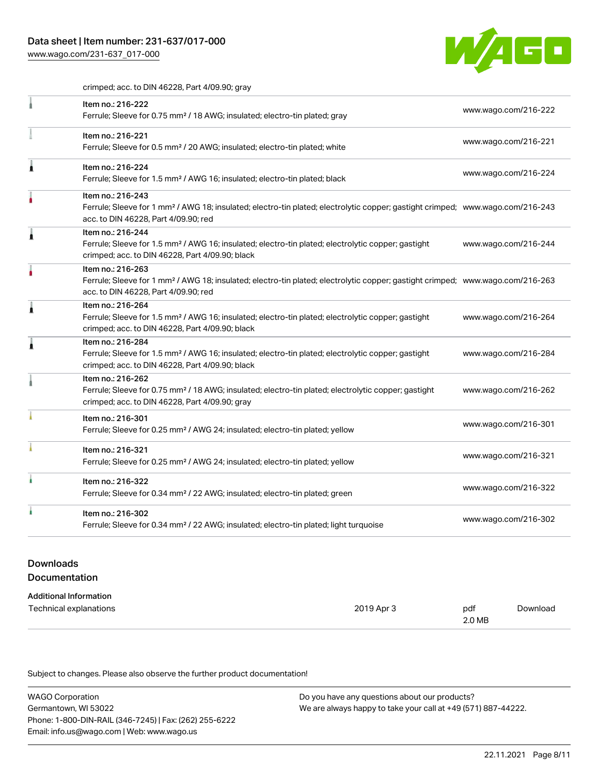[www.wago.com/231-637\\_017-000](http://www.wago.com/231-637_017-000)



crimped; acc. to DIN 46228, Part 4/09.90; gray

|   | Item no.: 216-222<br>Ferrule; Sleeve for 0.75 mm <sup>2</sup> / 18 AWG; insulated; electro-tin plated; gray                                                                                             | www.wago.com/216-222 |
|---|---------------------------------------------------------------------------------------------------------------------------------------------------------------------------------------------------------|----------------------|
|   | Item no.: 216-221<br>Ferrule; Sleeve for 0.5 mm <sup>2</sup> / 20 AWG; insulated; electro-tin plated; white                                                                                             | www.wago.com/216-221 |
| Â | Item no.: 216-224<br>Ferrule; Sleeve for 1.5 mm <sup>2</sup> / AWG 16; insulated; electro-tin plated; black                                                                                             | www.wago.com/216-224 |
|   | Item no.: 216-243<br>Ferrule; Sleeve for 1 mm <sup>2</sup> / AWG 18; insulated; electro-tin plated; electrolytic copper; gastight crimped; www.wago.com/216-243<br>acc. to DIN 46228, Part 4/09.90; red |                      |
|   | Item no.: 216-244<br>Ferrule; Sleeve for 1.5 mm <sup>2</sup> / AWG 16; insulated; electro-tin plated; electrolytic copper; gastight<br>crimped; acc. to DIN 46228, Part 4/09.90; black                  | www.wago.com/216-244 |
|   | Item no.: 216-263<br>Ferrule; Sleeve for 1 mm <sup>2</sup> / AWG 18; insulated; electro-tin plated; electrolytic copper; gastight crimped; www.wago.com/216-263<br>acc. to DIN 46228, Part 4/09.90; red |                      |
| Â | Item no.: 216-264<br>Ferrule; Sleeve for 1.5 mm <sup>2</sup> / AWG 16; insulated; electro-tin plated; electrolytic copper; gastight<br>crimped; acc. to DIN 46228, Part 4/09.90; black                  | www.wago.com/216-264 |
| ۸ | Item no.: 216-284<br>Ferrule; Sleeve for 1.5 mm <sup>2</sup> / AWG 16; insulated; electro-tin plated; electrolytic copper; gastight<br>crimped; acc. to DIN 46228, Part 4/09.90; black                  | www.wago.com/216-284 |
|   | Item no.: 216-262<br>Ferrule; Sleeve for 0.75 mm <sup>2</sup> / 18 AWG; insulated; electro-tin plated; electrolytic copper; gastight<br>crimped; acc. to DIN 46228, Part 4/09.90; gray                  | www.wago.com/216-262 |
|   | Item no.: 216-301<br>Ferrule; Sleeve for 0.25 mm <sup>2</sup> / AWG 24; insulated; electro-tin plated; yellow                                                                                           | www.wago.com/216-301 |
|   | Item no.: 216-321<br>Ferrule; Sleeve for 0.25 mm <sup>2</sup> / AWG 24; insulated; electro-tin plated; yellow                                                                                           | www.wago.com/216-321 |
|   | Item no.: 216-322<br>Ferrule; Sleeve for 0.34 mm <sup>2</sup> / 22 AWG; insulated; electro-tin plated; green                                                                                            | www.wago.com/216-322 |
|   | Item no.: 216-302<br>Ferrule; Sleeve for 0.34 mm <sup>2</sup> / 22 AWG; insulated; electro-tin plated; light turquoise                                                                                  | www.wago.com/216-302 |
|   |                                                                                                                                                                                                         |                      |

# Downloads Documentation

| Additional Information |
|------------------------|

| Auditional Information |            |        |          |
|------------------------|------------|--------|----------|
| Technical explanations | 2019 Apr 3 | pdf    | Download |
|                        |            | 2.0 MB |          |

Subject to changes. Please also observe the further product documentation!

| <b>WAGO Corporation</b>                                | Do you have any questions about our products?                 |  |  |
|--------------------------------------------------------|---------------------------------------------------------------|--|--|
| Germantown, WI 53022                                   | We are always happy to take your call at +49 (571) 887-44222. |  |  |
| Phone: 1-800-DIN-RAIL (346-7245)   Fax: (262) 255-6222 |                                                               |  |  |
| Email: info.us@wago.com   Web: www.wago.us             |                                                               |  |  |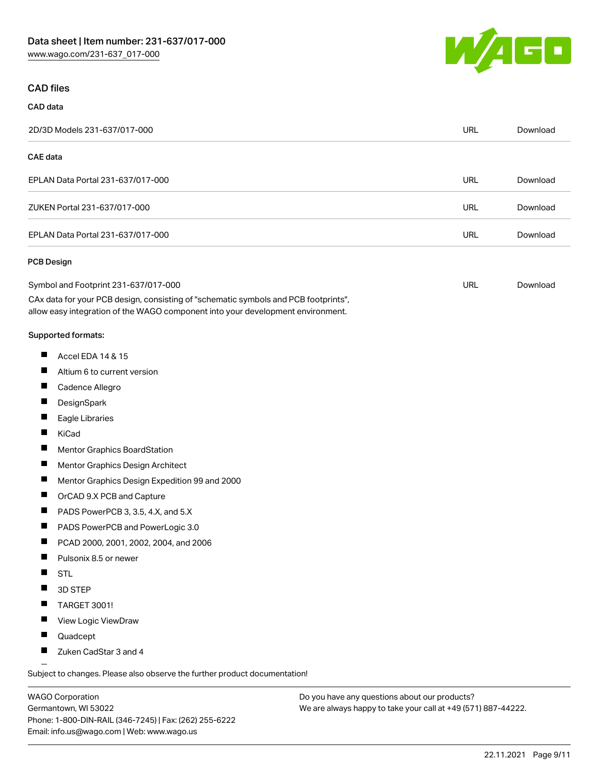

#### CAD files

CAD data

#### 2D/3D Models 231-637/017-000 URL [Download](https://www.wago.com/global/d/3D_URLS_231-637_017-000) CAE data EPLAN Data Portal 231-637/017-000 URL [Download](https://www.wago.com/global/d/EPLAN_URLS_231-637%252F017-000) ZUKEN Portal 231-637/017-000 URL [Download](https://www.wago.com/global/d/Zuken_URLS_231-637_017-000) EPLAN Data Portal 231-637/017-000 URL [Download](https://www.wago.com/global/d/EPLAN_URLS_231-637_017-000) PCB Design Symbol and Footprint 231-637/017-000 URL [Download](https://www.wago.com/global/d/UltraLibrarian_URLS_231-637_017-000)CAx data for your PCB design, consisting of "schematic symbols and PCB footprints", allow easy integration of the WAGO component into your development environment. Supported formats:  $\blacksquare$ Accel EDA 14 & 15  $\blacksquare$ Altium 6 to current version  $\blacksquare$ Cadence Allegro  $\blacksquare$ **DesignSpark** П Eagle Libraries  $\blacksquare$ KiCad  $\blacksquare$ Mentor Graphics BoardStation  $\blacksquare$ Mentor Graphics Design Architect  $\blacksquare$ Mentor Graphics Design Expedition 99 and 2000  $\blacksquare$ OrCAD 9.X PCB and Capture  $\blacksquare$ PADS PowerPCB 3, 3.5, 4.X, and 5.X  $\blacksquare$ PADS PowerPCB and PowerLogic 3.0  $\blacksquare$ PCAD 2000, 2001, 2002, 2004, and 2006 П Pulsonix 8.5 or newer  $\blacksquare$ **STL** П 3D STEP

- $\blacksquare$ TARGET 3001!
- П View Logic ViewDraw
- $\blacksquare$ Quadcept
- П Zuken CadStar 3 and 4

Subject to changes. Please also observe the further product documentation!

WAGO Corporation Germantown, WI 53022 Phone: 1-800-DIN-RAIL (346-7245) | Fax: (262) 255-6222 Email: info.us@wago.com | Web: www.wago.us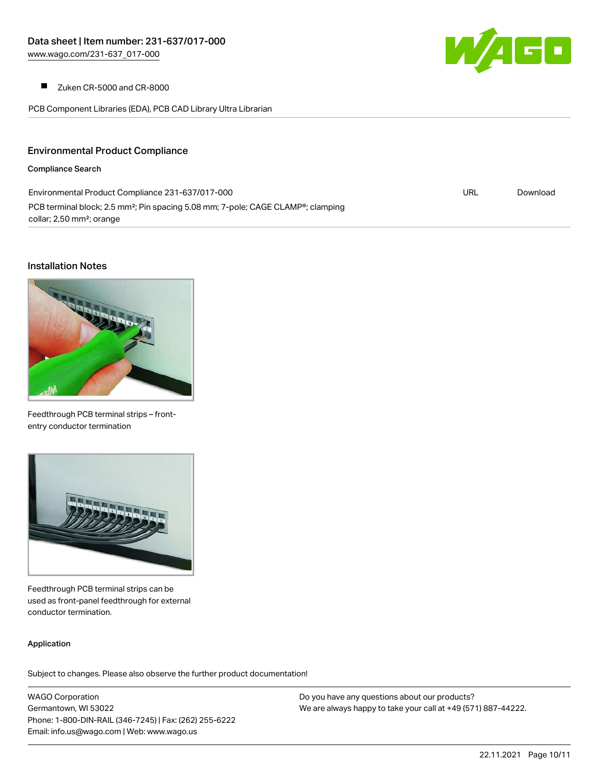

 $\blacksquare$ Zuken CR-5000 and CR-8000

PCB Component Libraries (EDA), PCB CAD Library Ultra Librarian

## Environmental Product Compliance

#### Compliance Search

| Environmental Product Compliance 231-637/017-000                                                          | URL | Download |
|-----------------------------------------------------------------------------------------------------------|-----|----------|
| PCB terminal block; 2.5 mm <sup>2</sup> ; Pin spacing 5.08 mm; 7-pole; CAGE CLAMP <sup>®</sup> ; clamping |     |          |
| collar; 2,50 mm <sup>2</sup> ; orange                                                                     |     |          |

#### Installation Notes



Feedthrough PCB terminal strips – frontentry conductor termination



Feedthrough PCB terminal strips can be used as front-panel feedthrough for external conductor termination.

#### Application

Subject to changes. Please also observe the further product documentation!

WAGO Corporation Germantown, WI 53022 Phone: 1-800-DIN-RAIL (346-7245) | Fax: (262) 255-6222 Email: info.us@wago.com | Web: www.wago.us